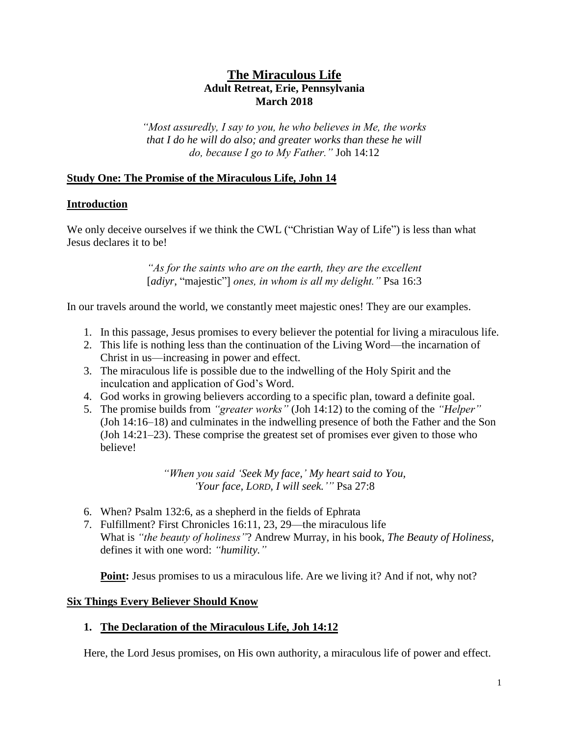# **The Miraculous Life Adult Retreat, Erie, Pennsylvania March 2018**

*"Most assuredly, I say to you, he who believes in Me, the works that I do he will do also; and greater works than these he will do, because I go to My Father."* Joh 14:12

### **Study One: The Promise of the Miraculous Life, John 14**

#### **Introduction**

We only deceive ourselves if we think the CWL ("Christian Way of Life") is less than what Jesus declares it to be!

> *"As for the saints who are on the earth, they are the excellent*  [*adiyr*, "majestic"] *ones, in whom is all my delight."* Psa 16:3

In our travels around the world, we constantly meet majestic ones! They are our examples.

- 1. In this passage, Jesus promises to every believer the potential for living a miraculous life.
- 2. This life is nothing less than the continuation of the Living Word—the incarnation of Christ in us—increasing in power and effect.
- 3. The miraculous life is possible due to the indwelling of the Holy Spirit and the inculcation and application of God's Word.
- 4. God works in growing believers according to a specific plan, toward a definite goal.
- 5. The promise builds from *"greater works"* (Joh 14:12) to the coming of the *"Helper"* (Joh 14:16–18) and culminates in the indwelling presence of both the Father and the Son (Joh 14:21–23). These comprise the greatest set of promises ever given to those who believe!

*"When you said 'Seek My face,' My heart said to You, 'Your face, LORD, I will seek.'"* Psa 27:8

- 6. When? Psalm 132:6, as a shepherd in the fields of Ephrata
- 7. Fulfillment? First Chronicles 16:11, 23, 29—the miraculous life What is *"the beauty of holiness"*? Andrew Murray, in his book, *The Beauty of Holiness*, defines it with one word: *"humility."*

**Point:** Jesus promises to us a miraculous life. Are we living it? And if not, why not?

#### **Six Things Every Believer Should Know**

#### **1. The Declaration of the Miraculous Life, Joh 14:12**

Here, the Lord Jesus promises, on His own authority, a miraculous life of power and effect.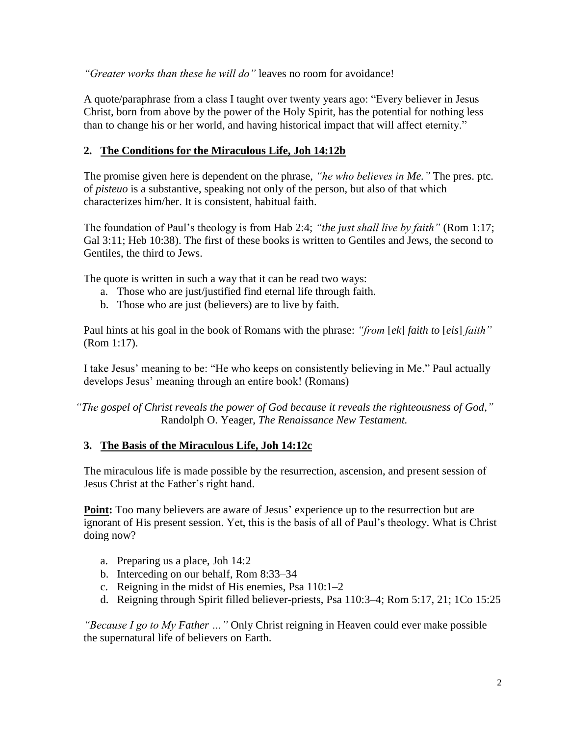*"Greater works than these he will do"* leaves no room for avoidance!

A quote/paraphrase from a class I taught over twenty years ago: "Every believer in Jesus Christ, born from above by the power of the Holy Spirit, has the potential for nothing less than to change his or her world, and having historical impact that will affect eternity."

## **2. The Conditions for the Miraculous Life, Joh 14:12b**

The promise given here is dependent on the phrase, *"he who believes in Me."* The pres. ptc. of *pisteuo* is a substantive, speaking not only of the person, but also of that which characterizes him/her. It is consistent, habitual faith.

The foundation of Paul's theology is from Hab 2:4; *"the just shall live by faith"* (Rom 1:17; Gal 3:11; Heb 10:38). The first of these books is written to Gentiles and Jews, the second to Gentiles, the third to Jews.

The quote is written in such a way that it can be read two ways:

- a. Those who are just/justified find eternal life through faith.
- b. Those who are just (believers) are to live by faith.

Paul hints at his goal in the book of Romans with the phrase: *"from* [*ek*] *faith to* [*eis*] *faith"* (Rom 1:17).

I take Jesus' meaning to be: "He who keeps on consistently believing in Me." Paul actually develops Jesus' meaning through an entire book! (Romans)

*"The gospel of Christ reveals the power of God because it reveals the righteousness of God,"* Randolph O. Yeager, *The Renaissance New Testament.*

## **3. The Basis of the Miraculous Life, Joh 14:12c**

The miraculous life is made possible by the resurrection, ascension, and present session of Jesus Christ at the Father's right hand.

**Point:** Too many believers are aware of Jesus' experience up to the resurrection but are ignorant of His present session. Yet, this is the basis of all of Paul's theology. What is Christ doing now?

- a. Preparing us a place, Joh 14:2
- b. Interceding on our behalf, Rom 8:33–34
- c. Reigning in the midst of His enemies, Psa 110:1–2
- d. Reigning through Spirit filled believer-priests, Psa 110:3–4; Rom 5:17, 21; 1Co 15:25

*"Because I go to My Father …"* Only Christ reigning in Heaven could ever make possible the supernatural life of believers on Earth.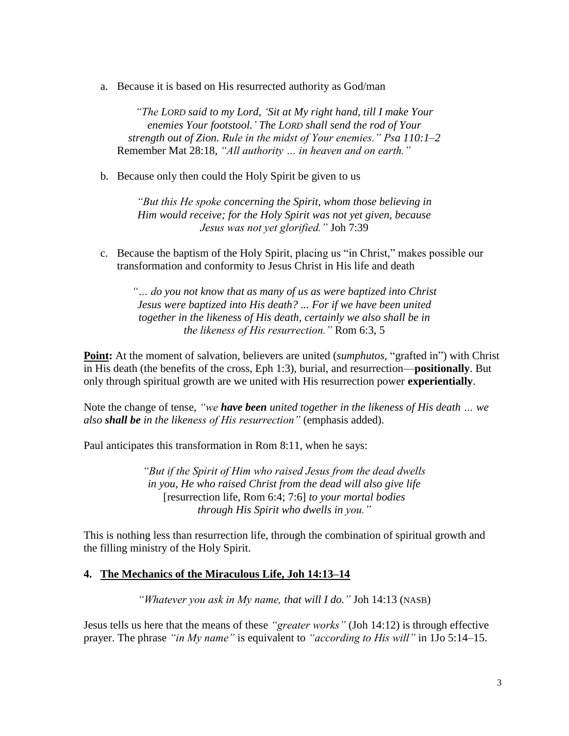a. Because it is based on His resurrected authority as God/man

*"The LORD said to my Lord, 'Sit at My right hand, till I make Your enemies Your footstool.' The LORD shall send the rod of Your strength out of Zion. Rule in the midst of Your enemies." Psa 110:1–2* Remember Mat 28:18, *"All authority … in heaven and on earth."*

b. Because only then could the Holy Spirit be given to us

*"But this He spoke concerning the Spirit, whom those believing in Him would receive; for the Holy Spirit was not yet given, because Jesus was not yet glorified."* Joh 7:39

c. Because the baptism of the Holy Spirit, placing us "in Christ," makes possible our transformation and conformity to Jesus Christ in His life and death

*"… do you not know that as many of us as were baptized into Christ Jesus were baptized into His death? ... For if we have been united together in the likeness of His death, certainly we also shall be in the likeness of His resurrection."* Rom 6:3, 5

**Point:** At the moment of salvation, believers are united (*sumphutos*, "grafted in") with Christ in His death (the benefits of the cross, Eph 1:3), burial, and resurrection—**positionally**. But only through spiritual growth are we united with His resurrection power **experientially**.

Note the change of tense, *"we have been united together in the likeness of His death … we also shall be in the likeness of His resurrection"* (emphasis added).

Paul anticipates this transformation in Rom 8:11, when he says:

*"But if the Spirit of Him who raised Jesus from the dead dwells in you, He who raised Christ from the dead will also give life*  [resurrection life, Rom 6:4; 7:6] *to your mortal bodies through His Spirit who dwells in you."*

This is nothing less than resurrection life, through the combination of spiritual growth and the filling ministry of the Holy Spirit.

#### **4. The Mechanics of the Miraculous Life, Joh 14:13–14**

*"Whatever you ask in My name, that will I do."* Joh 14:13 (NASB)

Jesus tells us here that the means of these *"greater works"* (Joh 14:12) is through effective prayer. The phrase *"in My name"* is equivalent to *"according to His will"* in 1Jo 5:14–15.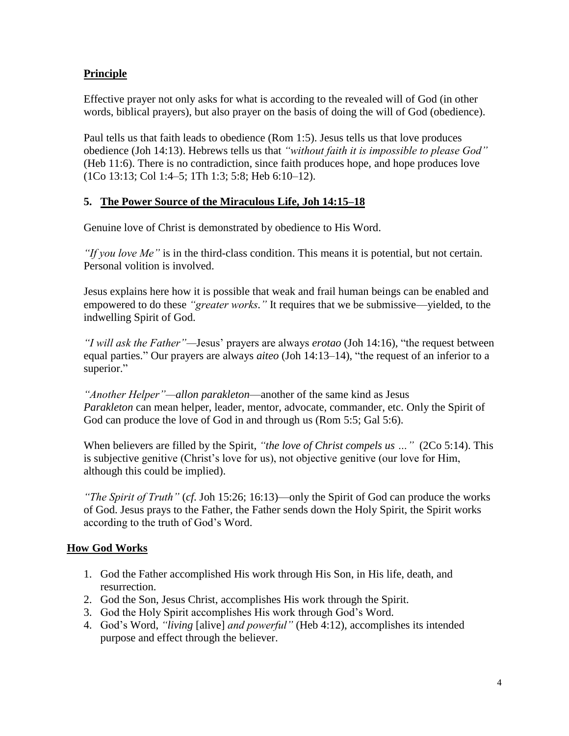# **Principle**

Effective prayer not only asks for what is according to the revealed will of God (in other words, biblical prayers), but also prayer on the basis of doing the will of God (obedience).

Paul tells us that faith leads to obedience (Rom 1:5). Jesus tells us that love produces obedience (Joh 14:13). Hebrews tells us that *"without faith it is impossible to please God"*  (Heb 11:6). There is no contradiction, since faith produces hope, and hope produces love (1Co 13:13; Col 1:4–5; 1Th 1:3; 5:8; Heb 6:10–12).

## **5. The Power Source of the Miraculous Life, Joh 14:15–18**

Genuine love of Christ is demonstrated by obedience to His Word.

*"If you love Me"* is in the third-class condition. This means it is potential, but not certain. Personal volition is involved.

Jesus explains here how it is possible that weak and frail human beings can be enabled and empowered to do these *"greater works."* It requires that we be submissive—yielded, to the indwelling Spirit of God.

*"I will ask the Father"—*Jesus' prayers are always *erotao* (Joh 14:16), "the request between equal parties." Our prayers are always *aiteo* (Joh 14:13–14), "the request of an inferior to a superior."

*"Another Helper"—allon parakleton*—another of the same kind as Jesus *Parakleton* can mean helper, leader, mentor, advocate, commander, etc. Only the Spirit of God can produce the love of God in and through us (Rom 5:5; Gal 5:6).

When believers are filled by the Spirit, *"the love of Christ compels us …"* (2Co 5:14). This is subjective genitive (Christ's love for us), not objective genitive (our love for Him, although this could be implied).

*"The Spirit of Truth"* (*cf.* Joh 15:26; 16:13)—only the Spirit of God can produce the works of God. Jesus prays to the Father, the Father sends down the Holy Spirit, the Spirit works according to the truth of God's Word.

## **How God Works**

- 1. God the Father accomplished His work through His Son, in His life, death, and resurrection.
- 2. God the Son, Jesus Christ, accomplishes His work through the Spirit.
- 3. God the Holy Spirit accomplishes His work through God's Word.
- 4. God's Word, *"living* [alive] *and powerful"* (Heb 4:12), accomplishes its intended purpose and effect through the believer.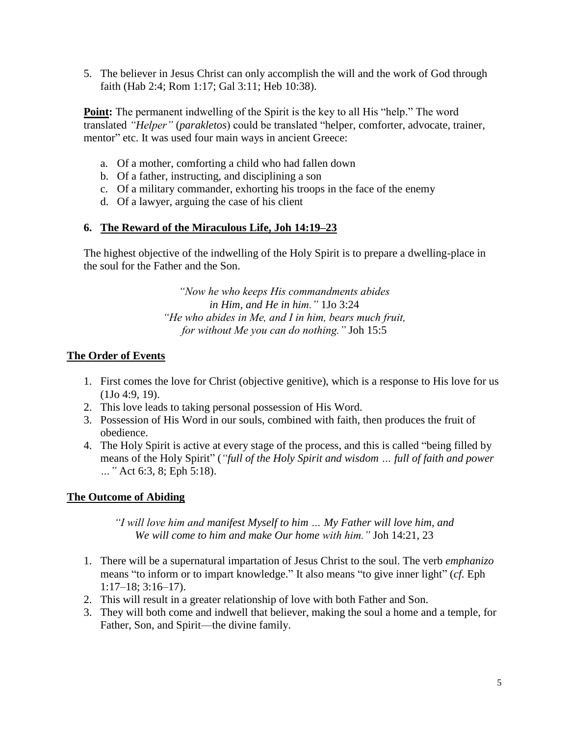5. The believer in Jesus Christ can only accomplish the will and the work of God through faith (Hab 2:4; Rom 1:17; Gal 3:11; Heb 10:38).

**Point:** The permanent indwelling of the Spirit is the key to all His "help." The word translated *"Helper"* (*parakletos*) could be translated "helper, comforter, advocate, trainer, mentor" etc. It was used four main ways in ancient Greece:

- a. Of a mother, comforting a child who had fallen down
- b. Of a father, instructing, and disciplining a son
- c. Of a military commander, exhorting his troops in the face of the enemy
- d. Of a lawyer, arguing the case of his client

## **6. The Reward of the Miraculous Life, Joh 14:19–23**

The highest objective of the indwelling of the Holy Spirit is to prepare a dwelling-place in the soul for the Father and the Son.

> *"Now he who keeps His commandments abides in Him, and He in him."* 1Jo 3:24 *"He who abides in Me, and I in him, bears much fruit, for without Me you can do nothing."* Joh 15:5

#### **The Order of Events**

- 1. First comes the love for Christ (objective genitive), which is a response to His love for us (1Jo 4:9, 19).
- 2. This love leads to taking personal possession of His Word.
- 3. Possession of His Word in our souls, combined with faith, then produces the fruit of obedience.
- 4. The Holy Spirit is active at every stage of the process, and this is called "being filled by means of the Holy Spirit" (*"full of the Holy Spirit and wisdom … full of faith and power …"* Act 6:3, 8; Eph 5:18).

## **The Outcome of Abiding**

*"I will love him and manifest Myself to him … My Father will love him, and We will come to him and make Our home with him."* Joh 14:21, 23

- 1. There will be a supernatural impartation of Jesus Christ to the soul. The verb *emphanizo* means "to inform or to impart knowledge." It also means "to give inner light" (*cf.* Eph  $1:17-18$ ;  $3:16-17$ ).
- 2. This will result in a greater relationship of love with both Father and Son.
- 3. They will both come and indwell that believer, making the soul a home and a temple, for Father, Son, and Spirit—the divine family.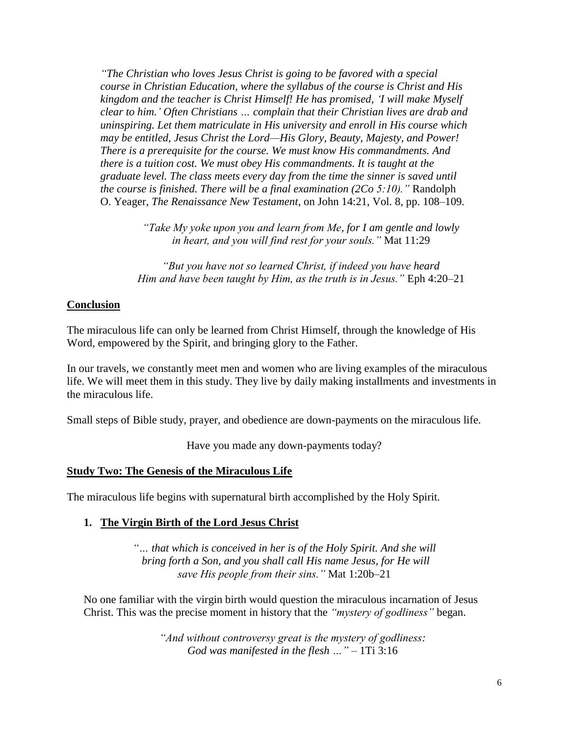*"The Christian who loves Jesus Christ is going to be favored with a special course in Christian Education, where the syllabus of the course is Christ and His kingdom and the teacher is Christ Himself! He has promised, 'I will make Myself clear to him.' Often Christians … complain that their Christian lives are drab and uninspiring. Let them matriculate in His university and enroll in His course which may be entitled, Jesus Christ the Lord—His Glory, Beauty, Majesty, and Power! There is a prerequisite for the course. We must know His commandments. And there is a tuition cost. We must obey His commandments. It is taught at the graduate level. The class meets every day from the time the sinner is saved until the course is finished. There will be a final examination (2Co 5:10)."* Randolph O. Yeager, *The Renaissance New Testament*, on John 14:21, Vol. 8, pp. 108–109*.*

> *"Take My yoke upon you and learn from Me, for I am gentle and lowly in heart, and you will find rest for your souls."* Mat 11:29

*"But you have not so learned Christ, if indeed you have heard Him and have been taught by Him, as the truth is in Jesus."* Eph 4:20–21

#### **Conclusion**

The miraculous life can only be learned from Christ Himself, through the knowledge of His Word, empowered by the Spirit, and bringing glory to the Father.

In our travels, we constantly meet men and women who are living examples of the miraculous life. We will meet them in this study. They live by daily making installments and investments in the miraculous life.

Small steps of Bible study, prayer, and obedience are down-payments on the miraculous life.

Have you made any down-payments today?

#### **Study Two: The Genesis of the Miraculous Life**

The miraculous life begins with supernatural birth accomplished by the Holy Spirit.

#### **1. The Virgin Birth of the Lord Jesus Christ**

*"… that which is conceived in her is of the Holy Spirit. And she will bring forth a Son, and you shall call His name Jesus, for He will save His people from their sins."* Mat 1:20b–21

No one familiar with the virgin birth would question the miraculous incarnation of Jesus Christ. This was the precise moment in history that the *"mystery of godliness"* began.

> *"And without controversy great is the mystery of godliness: God was manifested in the flesh …"* – 1Ti 3:16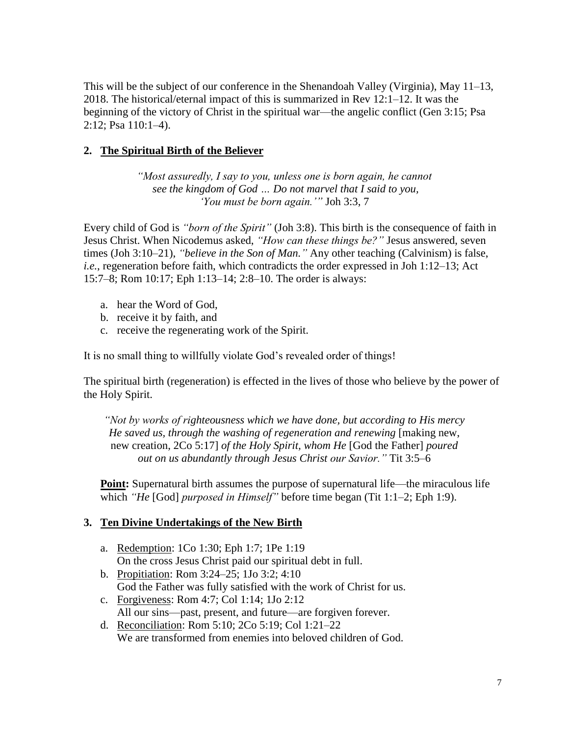This will be the subject of our conference in the Shenandoah Valley (Virginia), May 11–13, 2018. The historical/eternal impact of this is summarized in Rev 12:1–12. It was the beginning of the victory of Christ in the spiritual war—the angelic conflict (Gen 3:15; Psa 2:12; Psa 110:1–4).

# **2. The Spiritual Birth of the Believer**

*"Most assuredly, I say to you, unless one is born again, he cannot see the kingdom of God … Do not marvel that I said to you, 'You must be born again.'"* Joh 3:3, 7

Every child of God is *"born of the Spirit"* (Joh 3:8). This birth is the consequence of faith in Jesus Christ. When Nicodemus asked, *"How can these things be?"* Jesus answered, seven times (Joh 3:10–21), *"believe in the Son of Man."* Any other teaching (Calvinism) is false, *i.e.*, regeneration before faith, which contradicts the order expressed in Joh 1:12–13; Act 15:7–8; Rom 10:17; Eph 1:13–14; 2:8–10. The order is always:

- a. hear the Word of God,
- b. receive it by faith, and
- c. receive the regenerating work of the Spirit.

It is no small thing to willfully violate God's revealed order of things!

The spiritual birth (regeneration) is effected in the lives of those who believe by the power of the Holy Spirit.

*"Not by works of righteousness which we have done, but according to His mercy He saved us, through the washing of regeneration and renewing* [making new, new creation, 2Co 5:17] *of the Holy Spirit, whom He* [God the Father] *poured out on us abundantly through Jesus Christ our Savior."* Tit 3:5–6

**Point:** Supernatural birth assumes the purpose of supernatural life—the miraculous life which *"He* [God] *purposed in Himself"* before time began (Tit 1:1–2; Eph 1:9).

## **3. Ten Divine Undertakings of the New Birth**

- a. Redemption: 1Co 1:30; Eph 1:7; 1Pe 1:19 On the cross Jesus Christ paid our spiritual debt in full.
- b. Propitiation: Rom 3:24–25; 1Jo 3:2; 4:10 God the Father was fully satisfied with the work of Christ for us.
- c. Forgiveness: Rom 4:7; Col 1:14; 1Jo 2:12 All our sins—past, present, and future—are forgiven forever.
- d. Reconciliation: Rom 5:10; 2Co 5:19; Col 1:21–22 We are transformed from enemies into beloved children of God.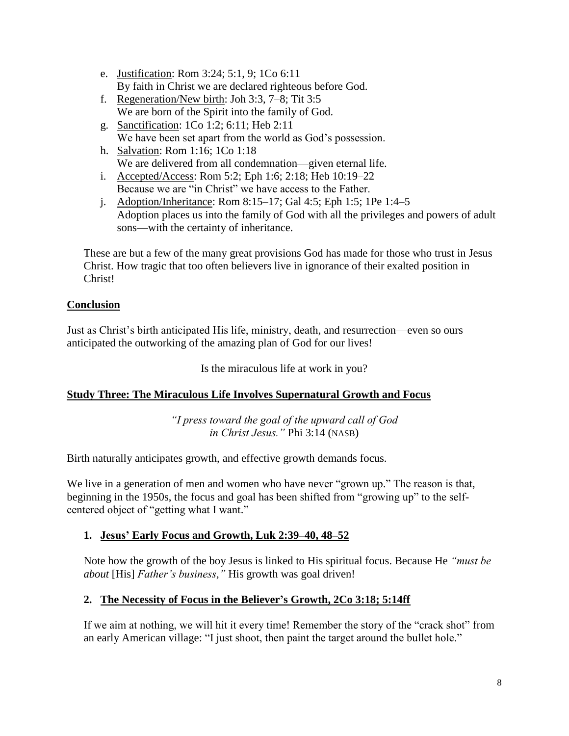- e. Justification: Rom 3:24; 5:1, 9; 1Co 6:11 By faith in Christ we are declared righteous before God.
- f. Regeneration/New birth: Joh 3:3, 7–8; Tit 3:5 We are born of the Spirit into the family of God.
- g. Sanctification: 1Co 1:2; 6:11; Heb 2:11 We have been set apart from the world as God's possession.
- h. Salvation: Rom 1:16; 1Co 1:18 We are delivered from all condemnation—given eternal life.
- i. Accepted/Access: Rom 5:2; Eph 1:6; 2:18; Heb 10:19–22 Because we are "in Christ" we have access to the Father.
- j. Adoption/Inheritance: Rom 8:15–17; Gal 4:5; Eph 1:5; 1Pe 1:4–5 Adoption places us into the family of God with all the privileges and powers of adult sons—with the certainty of inheritance.

These are but a few of the many great provisions God has made for those who trust in Jesus Christ. How tragic that too often believers live in ignorance of their exalted position in Christ!

# **Conclusion**

Just as Christ's birth anticipated His life, ministry, death, and resurrection—even so ours anticipated the outworking of the amazing plan of God for our lives!

Is the miraculous life at work in you?

# **Study Three: The Miraculous Life Involves Supernatural Growth and Focus**

*"I press toward the goal of the upward call of God in Christ Jesus."* Phi 3:14 (NASB)

Birth naturally anticipates growth, and effective growth demands focus.

We live in a generation of men and women who have never "grown up." The reason is that, beginning in the 1950s, the focus and goal has been shifted from "growing up" to the selfcentered object of "getting what I want."

# **1. Jesus' Early Focus and Growth, Luk 2:39–40, 48–52**

Note how the growth of the boy Jesus is linked to His spiritual focus. Because He *"must be about* [His] *Father's business,"* His growth was goal driven!

# **2. The Necessity of Focus in the Believer's Growth, 2Co 3:18; 5:14ff**

If we aim at nothing, we will hit it every time! Remember the story of the "crack shot" from an early American village: "I just shoot, then paint the target around the bullet hole."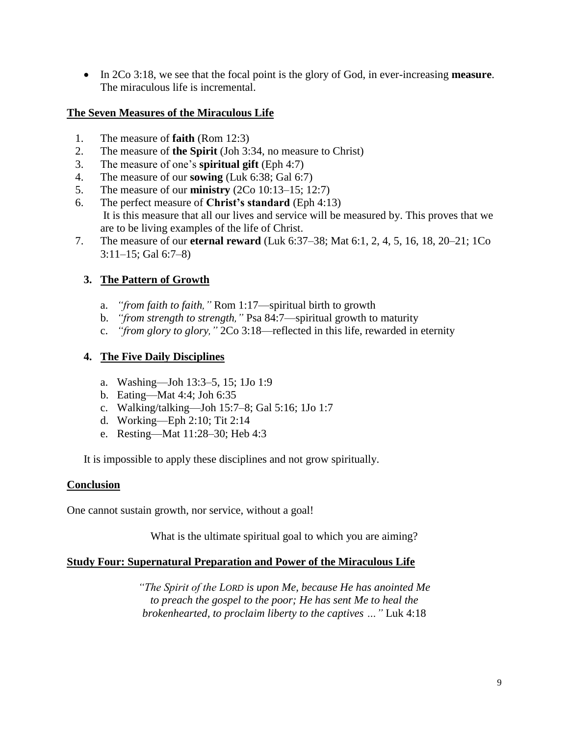• In 2Co 3:18, we see that the focal point is the glory of God, in ever-increasing **measure**. The miraculous life is incremental.

## **The Seven Measures of the Miraculous Life**

- 1. The measure of **faith** (Rom 12:3)
- 2. The measure of **the Spirit** (Joh 3:34, no measure to Christ)
- 3. The measure of one's **spiritual gift** (Eph 4:7)
- 4. The measure of our **sowing** (Luk 6:38; Gal 6:7)
- 5. The measure of our **ministry** (2Co 10:13–15; 12:7)
- 6. The perfect measure of **Christ's standard** (Eph 4:13) It is this measure that all our lives and service will be measured by. This proves that we are to be living examples of the life of Christ.
- 7. The measure of our **eternal reward** (Luk 6:37–38; Mat 6:1, 2, 4, 5, 16, 18, 20–21; 1Co 3:11–15; Gal 6:7–8)

# **3. The Pattern of Growth**

- a. *"from faith to faith,"* Rom 1:17—spiritual birth to growth
- b. *"from strength to strength,"* Psa 84:7—spiritual growth to maturity
- c. *"from glory to glory,"* 2Co 3:18—reflected in this life, rewarded in eternity

# **4. The Five Daily Disciplines**

- a. Washing—Joh 13:3–5, 15; 1Jo 1:9
- b. Eating—Mat 4:4; Joh 6:35
- c. Walking/talking—Joh 15:7–8; Gal 5:16; 1Jo 1:7
- d. Working—Eph 2:10; Tit 2:14
- e. Resting—Mat 11:28–30; Heb 4:3

It is impossible to apply these disciplines and not grow spiritually.

## **Conclusion**

One cannot sustain growth, nor service, without a goal!

What is the ultimate spiritual goal to which you are aiming?

## **Study Four: Supernatural Preparation and Power of the Miraculous Life**

*"The Spirit of the LORD is upon Me, because He has anointed Me to preach the gospel to the poor; He has sent Me to heal the brokenhearted, to proclaim liberty to the captives …"* Luk 4:18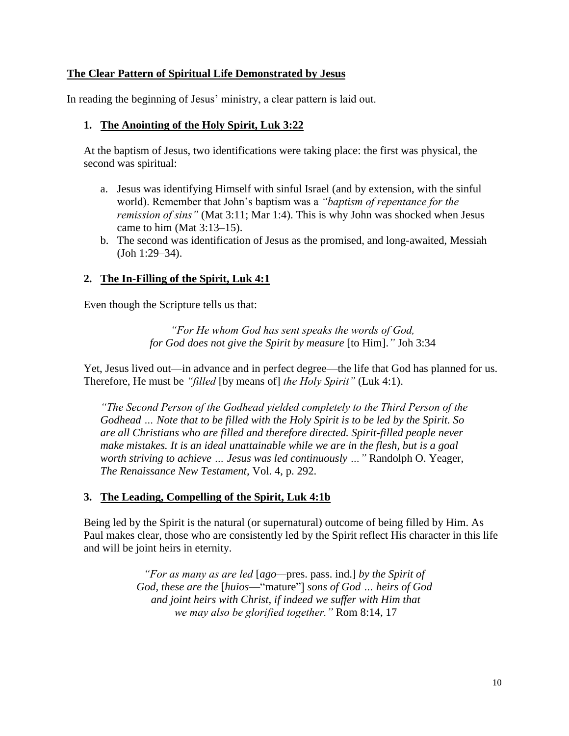## **The Clear Pattern of Spiritual Life Demonstrated by Jesus**

In reading the beginning of Jesus' ministry, a clear pattern is laid out.

### **1. The Anointing of the Holy Spirit, Luk 3:22**

At the baptism of Jesus, two identifications were taking place: the first was physical, the second was spiritual:

- a. Jesus was identifying Himself with sinful Israel (and by extension, with the sinful world). Remember that John's baptism was a *"baptism of repentance for the remission of sins"* (Mat 3:11; Mar 1:4). This is why John was shocked when Jesus came to him (Mat 3:13–15).
- b. The second was identification of Jesus as the promised, and long-awaited, Messiah (Joh 1:29–34).

#### **2. The In-Filling of the Spirit, Luk 4:1**

Even though the Scripture tells us that:

*"For He whom God has sent speaks the words of God, for God does not give the Spirit by measure* [to Him].*"* Joh 3:34

Yet, Jesus lived out—in advance and in perfect degree—the life that God has planned for us. Therefore, He must be *"filled* [by means of] *the Holy Spirit"* (Luk 4:1).

*"The Second Person of the Godhead yielded completely to the Third Person of the Godhead … Note that to be filled with the Holy Spirit is to be led by the Spirit. So are all Christians who are filled and therefore directed. Spirit-filled people never make mistakes. It is an ideal unattainable while we are in the flesh, but is a goal worth striving to achieve … Jesus was led continuously …"* Randolph O. Yeager, *The Renaissance New Testament,* Vol. 4, p. 292.

#### **3. The Leading, Compelling of the Spirit, Luk 4:1b**

Being led by the Spirit is the natural (or supernatural) outcome of being filled by Him. As Paul makes clear, those who are consistently led by the Spirit reflect His character in this life and will be joint heirs in eternity.

> *"For as many as are led* [*ago—*pres. pass. ind.] *by the Spirit of God, these are the* [*huios*—"mature"] *sons of God … heirs of God and joint heirs with Christ, if indeed we suffer with Him that we may also be glorified together."* Rom 8:14, 17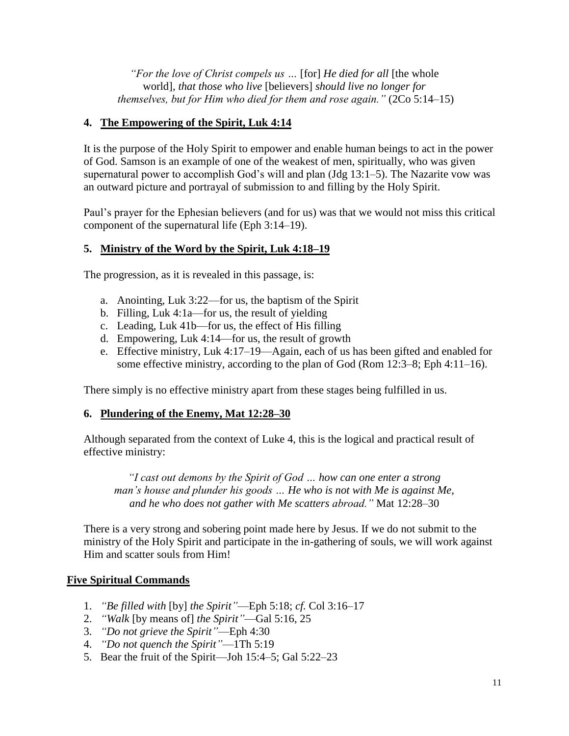*"For the love of Christ compels us …* [for] *He died for all* [the whole world]*, that those who live* [believers] *should live no longer for themselves, but for Him who died for them and rose again."* (2Co 5:14–15)

## **4. The Empowering of the Spirit, Luk 4:14**

It is the purpose of the Holy Spirit to empower and enable human beings to act in the power of God. Samson is an example of one of the weakest of men, spiritually, who was given supernatural power to accomplish God's will and plan (Jdg 13:1–5). The Nazarite vow was an outward picture and portrayal of submission to and filling by the Holy Spirit.

Paul's prayer for the Ephesian believers (and for us) was that we would not miss this critical component of the supernatural life (Eph 3:14–19).

# **5. Ministry of the Word by the Spirit, Luk 4:18–19**

The progression, as it is revealed in this passage, is:

- a. Anointing, Luk 3:22—for us, the baptism of the Spirit
- b. Filling, Luk 4:1a—for us, the result of yielding
- c. Leading, Luk 41b—for us, the effect of His filling
- d. Empowering, Luk 4:14—for us, the result of growth
- e. Effective ministry, Luk 4:17–19—Again, each of us has been gifted and enabled for some effective ministry, according to the plan of God (Rom 12:3–8; Eph 4:11–16).

There simply is no effective ministry apart from these stages being fulfilled in us.

## **6. Plundering of the Enemy, Mat 12:28–30**

Although separated from the context of Luke 4, this is the logical and practical result of effective ministry:

*"I cast out demons by the Spirit of God … how can one enter a strong man's house and plunder his goods … He who is not with Me is against Me, and he who does not gather with Me scatters abroad."* Mat 12:28–30

There is a very strong and sobering point made here by Jesus. If we do not submit to the ministry of the Holy Spirit and participate in the in-gathering of souls, we will work against Him and scatter souls from Him!

## **Five Spiritual Commands**

- 1. *"Be filled with* [by] *the Spirit"*—Eph 5:18; *cf.* Col 3:16–17
- 2. *"Walk* [by means of] *the Spirit"*—Gal 5:16, 25
- 3. *"Do not grieve the Spirit"*—Eph 4:30
- 4. *"Do not quench the Spirit"*—1Th 5:19
- 5. Bear the fruit of the Spirit—Joh 15:4–5; Gal 5:22–23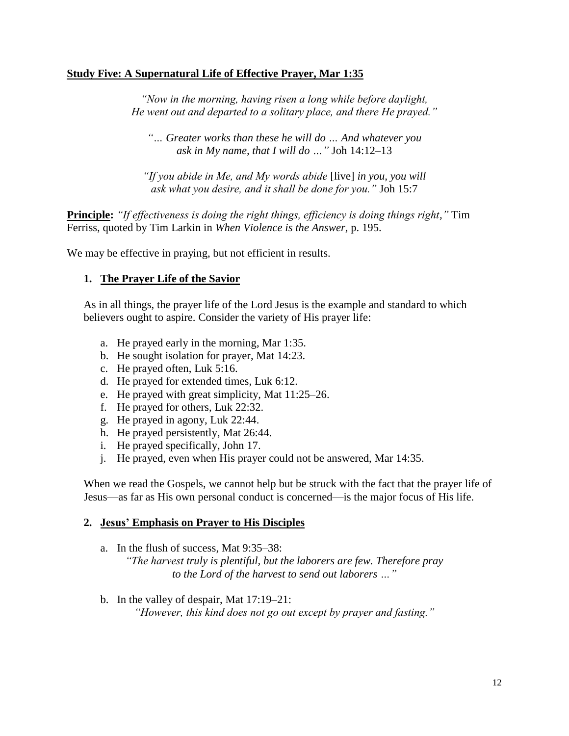### **Study Five: A Supernatural Life of Effective Prayer, Mar 1:35**

*"Now in the morning, having risen a long while before daylight, He went out and departed to a solitary place, and there He prayed."*

*"… Greater works than these he will do … And whatever you ask in My name, that I will do …"* Joh 14:12–13

*"If you abide in Me, and My words abide* [live] *in you, you will ask what you desire, and it shall be done for you."* Joh 15:7

**Principle:** *"If effectiveness is doing the right things, efficiency is doing things right,"* Tim Ferriss, quoted by Tim Larkin in *When Violence is the Answer*, p. 195.

We may be effective in praying, but not efficient in results.

#### **1. The Prayer Life of the Savior**

As in all things, the prayer life of the Lord Jesus is the example and standard to which believers ought to aspire. Consider the variety of His prayer life:

- a. He prayed early in the morning, Mar 1:35.
- b. He sought isolation for prayer, Mat 14:23.
- c. He prayed often, Luk 5:16.
- d. He prayed for extended times, Luk 6:12.
- e. He prayed with great simplicity, Mat 11:25–26.
- f. He prayed for others, Luk 22:32.
- g. He prayed in agony, Luk 22:44.
- h. He prayed persistently, Mat 26:44.
- i. He prayed specifically, John 17.
- j. He prayed, even when His prayer could not be answered, Mar 14:35.

When we read the Gospels, we cannot help but be struck with the fact that the prayer life of Jesus—as far as His own personal conduct is concerned—is the major focus of His life.

#### **2. Jesus' Emphasis on Prayer to His Disciples**

a. In the flush of success, Mat 9:35–38: *"The harvest truly is plentiful, but the laborers are few. Therefore pray to the Lord of the harvest to send out laborers …"* 

b. In the valley of despair, Mat 17:19–21: *"However, this kind does not go out except by prayer and fasting."*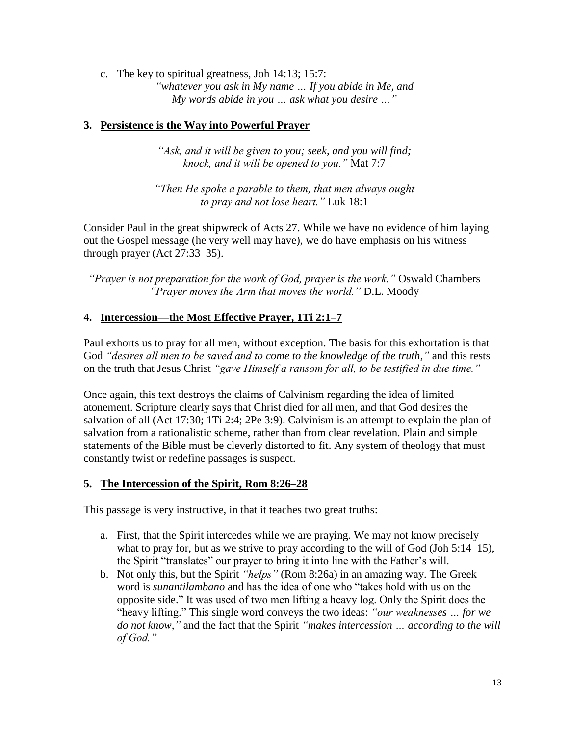c. The key to spiritual greatness, Joh 14:13; 15:7: *"whatever you ask in My name … If you abide in Me, and My words abide in you … ask what you desire …"*

# **3. Persistence is the Way into Powerful Prayer**

*"Ask, and it will be given to you; seek, and you will find; knock, and it will be opened to you."* Mat 7:7

*"Then He spoke a parable to them, that men always ought to pray and not lose heart."* Luk 18:1

Consider Paul in the great shipwreck of Acts 27. While we have no evidence of him laying out the Gospel message (he very well may have), we do have emphasis on his witness through prayer (Act 27:33–35).

*"Prayer is not preparation for the work of God, prayer is the work."* Oswald Chambers *"Prayer moves the Arm that moves the world."* D.L. Moody

## **4. Intercession—the Most Effective Prayer, 1Ti 2:1–7**

Paul exhorts us to pray for all men, without exception. The basis for this exhortation is that God *"desires all men to be saved and to come to the knowledge of the truth,"* and this rests on the truth that Jesus Christ *"gave Himself a ransom for all, to be testified in due time."*

Once again, this text destroys the claims of Calvinism regarding the idea of limited atonement. Scripture clearly says that Christ died for all men, and that God desires the salvation of all (Act 17:30; 1Ti 2:4; 2Pe 3:9). Calvinism is an attempt to explain the plan of salvation from a rationalistic scheme, rather than from clear revelation. Plain and simple statements of the Bible must be cleverly distorted to fit. Any system of theology that must constantly twist or redefine passages is suspect.

## **5. The Intercession of the Spirit, Rom 8:26–28**

This passage is very instructive, in that it teaches two great truths:

- a. First, that the Spirit intercedes while we are praying. We may not know precisely what to pray for, but as we strive to pray according to the will of God (Joh 5:14–15), the Spirit "translates" our prayer to bring it into line with the Father's will.
- b. Not only this, but the Spirit *"helps"* (Rom 8:26a) in an amazing way. The Greek word is *sunantilambano* and has the idea of one who "takes hold with us on the opposite side." It was used of two men lifting a heavy log. Only the Spirit does the "heavy lifting." This single word conveys the two ideas: *"our weaknesses … for we do not know,"* and the fact that the Spirit *"makes intercession … according to the will of God."*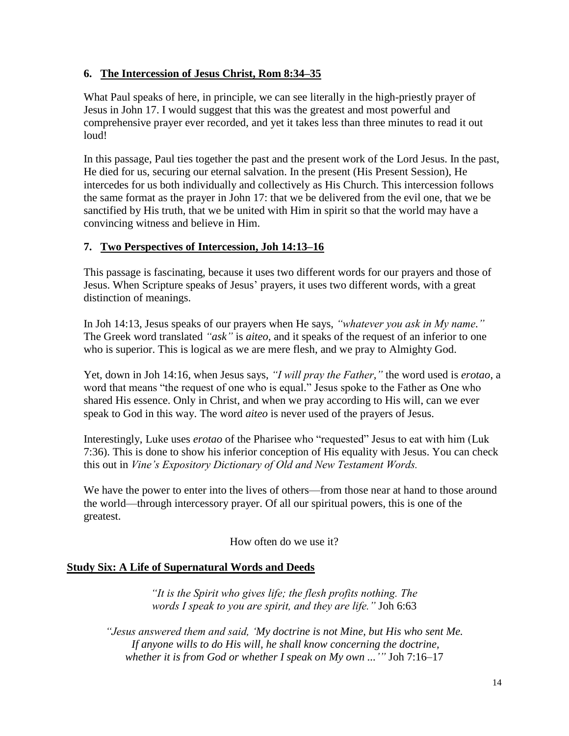## **6. The Intercession of Jesus Christ, Rom 8:34–35**

What Paul speaks of here, in principle, we can see literally in the high-priestly prayer of Jesus in John 17. I would suggest that this was the greatest and most powerful and comprehensive prayer ever recorded, and yet it takes less than three minutes to read it out loud!

In this passage, Paul ties together the past and the present work of the Lord Jesus. In the past, He died for us, securing our eternal salvation. In the present (His Present Session), He intercedes for us both individually and collectively as His Church. This intercession follows the same format as the prayer in John 17: that we be delivered from the evil one, that we be sanctified by His truth, that we be united with Him in spirit so that the world may have a convincing witness and believe in Him.

## **7. Two Perspectives of Intercession, Joh 14:13–16**

This passage is fascinating, because it uses two different words for our prayers and those of Jesus. When Scripture speaks of Jesus' prayers, it uses two different words, with a great distinction of meanings.

In Joh 14:13, Jesus speaks of our prayers when He says, *"whatever you ask in My name."* The Greek word translated *"ask"* is *aiteo*, and it speaks of the request of an inferior to one who is superior. This is logical as we are mere flesh, and we pray to Almighty God.

Yet, down in Joh 14:16, when Jesus says, *"I will pray the Father,"* the word used is *erotao*, a word that means "the request of one who is equal." Jesus spoke to the Father as One who shared His essence. Only in Christ, and when we pray according to His will, can we ever speak to God in this way. The word *aiteo* is never used of the prayers of Jesus.

Interestingly, Luke uses *erotao* of the Pharisee who "requested" Jesus to eat with him (Luk 7:36). This is done to show his inferior conception of His equality with Jesus. You can check this out in *Vine's Expository Dictionary of Old and New Testament Words.*

We have the power to enter into the lives of others—from those near at hand to those around the world—through intercessory prayer. Of all our spiritual powers, this is one of the greatest.

How often do we use it?

# **Study Six: A Life of Supernatural Words and Deeds**

*"It is the Spirit who gives life; the flesh profits nothing. The words I speak to you are spirit, and they are life."* Joh 6:63

*"Jesus answered them and said, 'My doctrine is not Mine, but His who sent Me. If anyone wills to do His will, he shall know concerning the doctrine, whether it is from God or whether I speak on My own ...'"* Joh 7:16–17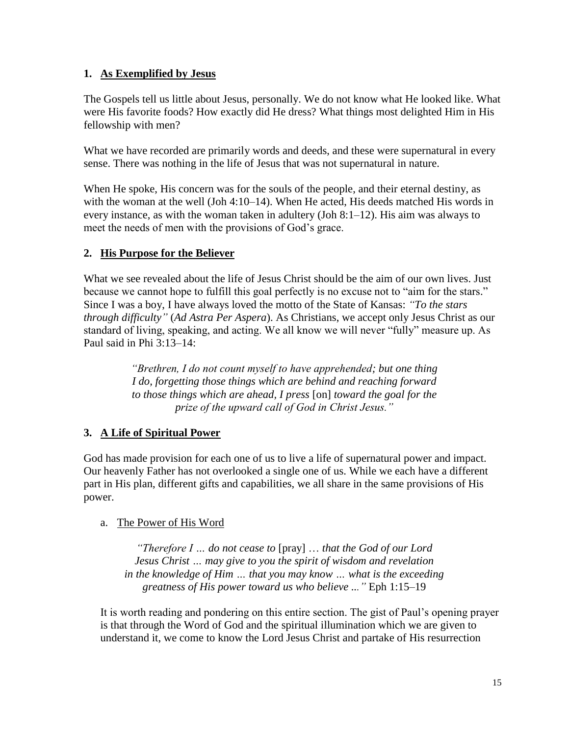## **1. As Exemplified by Jesus**

The Gospels tell us little about Jesus, personally. We do not know what He looked like. What were His favorite foods? How exactly did He dress? What things most delighted Him in His fellowship with men?

What we have recorded are primarily words and deeds, and these were supernatural in every sense. There was nothing in the life of Jesus that was not supernatural in nature.

When He spoke, His concern was for the souls of the people, and their eternal destiny, as with the woman at the well (Joh 4:10–14). When He acted, His deeds matched His words in every instance, as with the woman taken in adultery (Joh 8:1–12). His aim was always to meet the needs of men with the provisions of God's grace.

# **2. His Purpose for the Believer**

What we see revealed about the life of Jesus Christ should be the aim of our own lives. Just because we cannot hope to fulfill this goal perfectly is no excuse not to "aim for the stars." Since I was a boy, I have always loved the motto of the State of Kansas: *"To the stars through difficulty"* (*Ad Astra Per Aspera*). As Christians, we accept only Jesus Christ as our standard of living, speaking, and acting. We all know we will never "fully" measure up. As Paul said in Phi 3:13–14:

> *"Brethren, I do not count myself to have apprehended; but one thing I do, forgetting those things which are behind and reaching forward to those things which are ahead, I press* [on] *toward the goal for the prize of the upward call of God in Christ Jesus."*

# **3. A Life of Spiritual Power**

God has made provision for each one of us to live a life of supernatural power and impact. Our heavenly Father has not overlooked a single one of us. While we each have a different part in His plan, different gifts and capabilities, we all share in the same provisions of His power.

## a. The Power of His Word

*"Therefore I … do not cease to* [pray] … *that the God of our Lord Jesus Christ … may give to you the spirit of wisdom and revelation in the knowledge of Him … that you may know … what is the exceeding greatness of His power toward us who believe ..."* Eph 1:15–19

It is worth reading and pondering on this entire section. The gist of Paul's opening prayer is that through the Word of God and the spiritual illumination which we are given to understand it, we come to know the Lord Jesus Christ and partake of His resurrection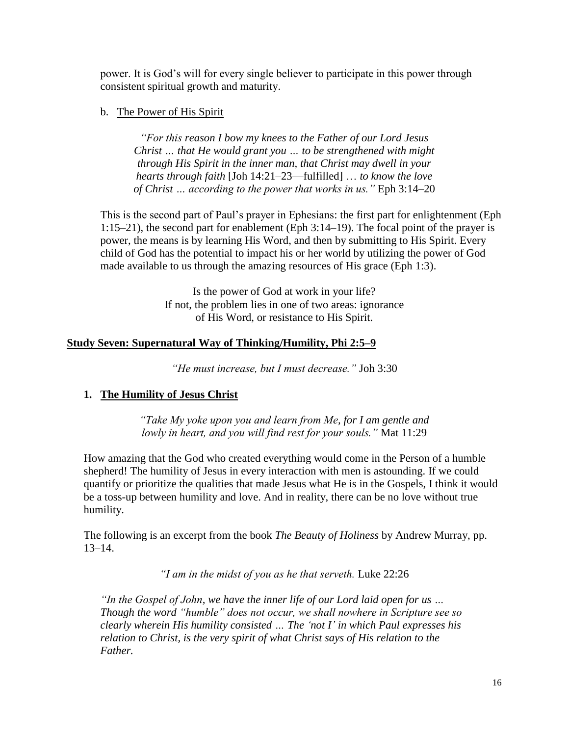power. It is God's will for every single believer to participate in this power through consistent spiritual growth and maturity.

## b. The Power of His Spirit

*"For this reason I bow my knees to the Father of our Lord Jesus Christ … that He would grant you … to be strengthened with might through His Spirit in the inner man, that Christ may dwell in your hearts through faith* [Joh 14:21–23—fulfilled] … *to know the love of Christ … according to the power that works in us."* Eph 3:14–20

This is the second part of Paul's prayer in Ephesians: the first part for enlightenment (Eph 1:15–21), the second part for enablement (Eph 3:14–19). The focal point of the prayer is power, the means is by learning His Word, and then by submitting to His Spirit. Every child of God has the potential to impact his or her world by utilizing the power of God made available to us through the amazing resources of His grace (Eph 1:3).

> Is the power of God at work in your life? If not, the problem lies in one of two areas: ignorance of His Word, or resistance to His Spirit.

## **Study Seven: Supernatural Way of Thinking/Humility, Phi 2:5–9**

*"He must increase, but I must decrease."* Joh 3:30

# **1. The Humility of Jesus Christ**

*"Take My yoke upon you and learn from Me, for I am gentle and lowly in heart, and you will find rest for your souls."* Mat 11:29

How amazing that the God who created everything would come in the Person of a humble shepherd! The humility of Jesus in every interaction with men is astounding. If we could quantify or prioritize the qualities that made Jesus what He is in the Gospels, I think it would be a toss-up between humility and love. And in reality, there can be no love without true humility.

The following is an excerpt from the book *The Beauty of Holiness* by Andrew Murray, pp. 13–14.

*"I am in the midst of you as he that serveth.* Luke 22:26

*"In the Gospel of John, we have the inner life of our Lord laid open for us … Though the word "humble" does not occur, we shall nowhere in Scripture see so clearly wherein His humility consisted … The 'not I' in which Paul expresses his relation to Christ, is the very spirit of what Christ says of His relation to the Father.*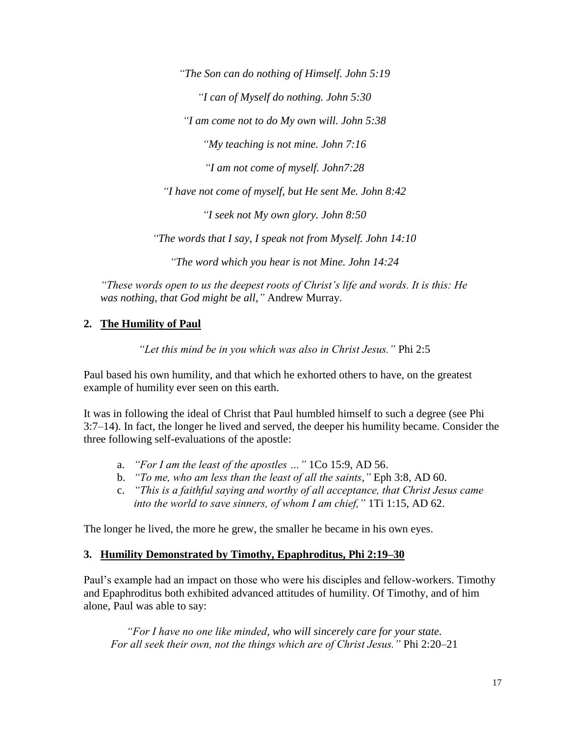*"The Son can do nothing of Himself. John 5:19*

*"I can of Myself do nothing. John 5:30*

*"I am come not to do My own will. John 5:38*

*"My teaching is not mine. John 7:16*

*"I am not come of myself. John7:28*

*"I have not come of myself, but He sent Me. John 8:42*

*"I seek not My own glory. John 8:50*

*"The words that I say, I speak not from Myself. John 14:10*

*"The word which you hear is not Mine. John 14:24*

*"These words open to us the deepest roots of Christ's life and words. It is this: He was nothing, that God might be all,"* Andrew Murray.

#### **2. The Humility of Paul**

*"Let this mind be in you which was also in Christ Jesus."* Phi 2:5

Paul based his own humility, and that which he exhorted others to have, on the greatest example of humility ever seen on this earth.

It was in following the ideal of Christ that Paul humbled himself to such a degree (see Phi 3:7–14). In fact, the longer he lived and served, the deeper his humility became. Consider the three following self-evaluations of the apostle:

- a. *"For I am the least of the apostles …"* 1Co 15:9, AD 56.
- b. *"To me, who am less than the least of all the saints,"* Eph 3:8, AD 60.
- c. *"This is a faithful saying and worthy of all acceptance, that Christ Jesus came into the world to save sinners, of whom I am chief,"* 1Ti 1:15, AD 62.

The longer he lived, the more he grew, the smaller he became in his own eyes.

#### **3. Humility Demonstrated by Timothy, Epaphroditus, Phi 2:19–30**

Paul's example had an impact on those who were his disciples and fellow-workers. Timothy and Epaphroditus both exhibited advanced attitudes of humility. Of Timothy, and of him alone, Paul was able to say:

*"For I have no one like minded, who will sincerely care for your state. For all seek their own, not the things which are of Christ Jesus."* Phi 2:20–21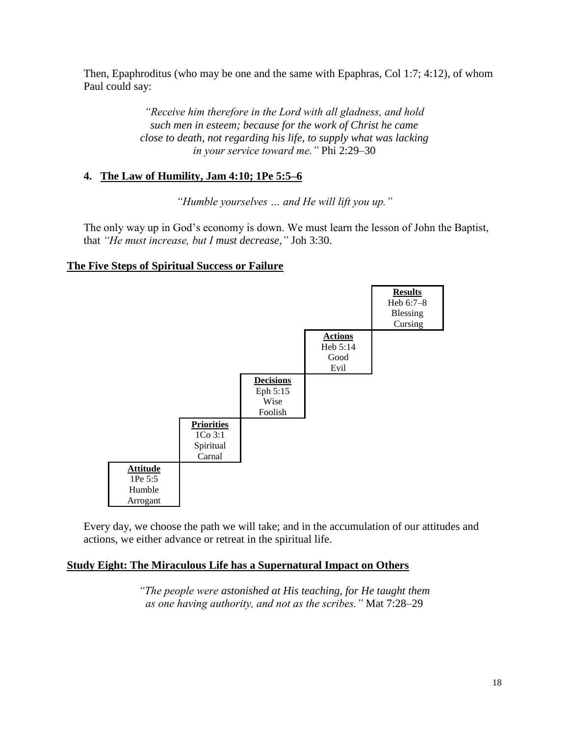Then, Epaphroditus (who may be one and the same with Epaphras, Col 1:7; 4:12), of whom Paul could say:

> *"Receive him therefore in the Lord with all gladness, and hold such men in esteem; because for the work of Christ he came close to death, not regarding his life, to supply what was lacking in your service toward me."* Phi 2:29–30

# **4. The Law of Humility, Jam 4:10; 1Pe 5:5–6**

*"Humble yourselves … and He will lift you up."*

The only way up in God's economy is down. We must learn the lesson of John the Baptist, that *"He must increase, but I must decrease,"* Joh 3:30.

#### **The Five Steps of Spiritual Success or Failure**



Every day, we choose the path we will take; and in the accumulation of our attitudes and actions, we either advance or retreat in the spiritual life.

#### **Study Eight: The Miraculous Life has a Supernatural Impact on Others**

*"The people were astonished at His teaching, for He taught them as one having authority, and not as the scribes."* Mat 7:28–29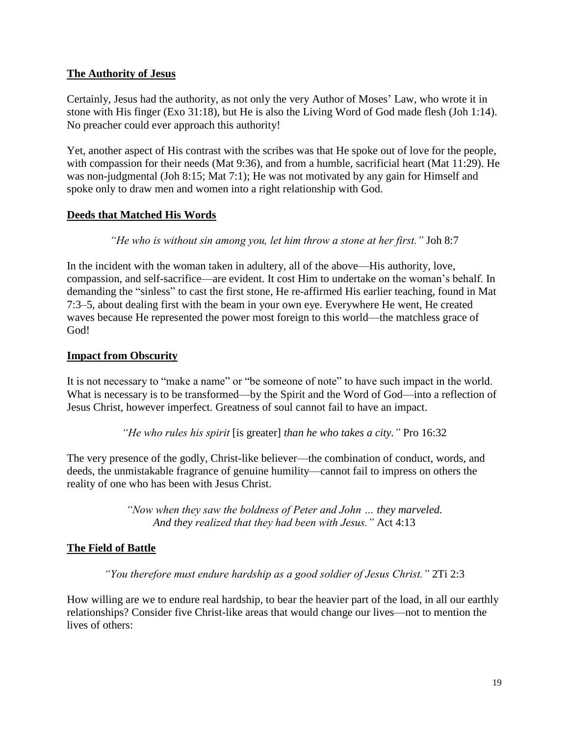### **The Authority of Jesus**

Certainly, Jesus had the authority, as not only the very Author of Moses' Law, who wrote it in stone with His finger (Exo 31:18), but He is also the Living Word of God made flesh (Joh 1:14). No preacher could ever approach this authority!

Yet, another aspect of His contrast with the scribes was that He spoke out of love for the people, with compassion for their needs (Mat 9:36), and from a humble, sacrificial heart (Mat 11:29). He was non-judgmental (Joh 8:15; Mat 7:1); He was not motivated by any gain for Himself and spoke only to draw men and women into a right relationship with God.

#### **Deeds that Matched His Words**

*"He who is without sin among you, let him throw a stone at her first."* Joh 8:7

In the incident with the woman taken in adultery, all of the above—His authority, love, compassion, and self-sacrifice—are evident. It cost Him to undertake on the woman's behalf. In demanding the "sinless" to cast the first stone, He re-affirmed His earlier teaching, found in Mat 7:3–5, about dealing first with the beam in your own eye. Everywhere He went, He created waves because He represented the power most foreign to this world—the matchless grace of God!

#### **Impact from Obscurity**

It is not necessary to "make a name" or "be someone of note" to have such impact in the world. What is necessary is to be transformed—by the Spirit and the Word of God—into a reflection of Jesus Christ, however imperfect. Greatness of soul cannot fail to have an impact.

*"He who rules his spirit* [is greater] *than he who takes a city."* Pro 16:32

The very presence of the godly, Christ-like believer—the combination of conduct, words, and deeds, the unmistakable fragrance of genuine humility—cannot fail to impress on others the reality of one who has been with Jesus Christ.

> *"Now when they saw the boldness of Peter and John … they marveled. And they realized that they had been with Jesus."* Act 4:13

## **The Field of Battle**

*"You therefore must endure hardship as a good soldier of Jesus Christ."* 2Ti 2:3

How willing are we to endure real hardship, to bear the heavier part of the load, in all our earthly relationships? Consider five Christ-like areas that would change our lives—not to mention the lives of others: